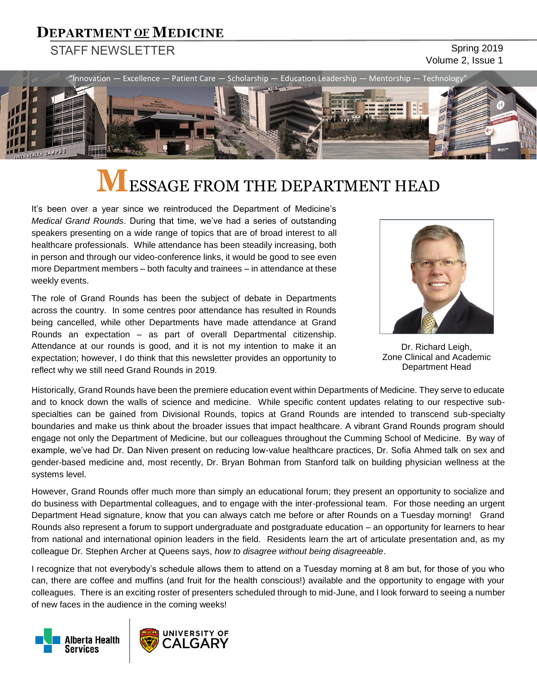### **DEPARTMENT OF MEDICINE**

### STAFF NEWSLETTER Spring 2019

# Volume 2, Issue 1



# **LESSAGE FROM THE DEPARTMENT HEAD**

It's been over a year since we reintroduced the Department of Medicine's *Medical Grand Rounds*. During that time, we've had a series of outstanding speakers presenting on a wide range of topics that are of broad interest to all healthcare professionals. While attendance has been steadily increasing, both in person and through our video-conference links, it would be good to see even more Department members – both faculty and trainees – in attendance at these weekly events.

The role of Grand Rounds has been the subject of debate in Departments across the country. In some centres poor attendance has resulted in Rounds being cancelled, while other Departments have made attendance at Grand Rounds an expectation – as part of overall Departmental citizenship. Attendance at our rounds is good, and it is not my intention to make it an expectation; however, I do think that this newsletter provides an opportunity to reflect why we still need Grand Rounds in 2019.



Dr. Richard Leigh, Zone Clinical and Academic Department Head

Historically, Grand Rounds have been the premiere education event within Departments of Medicine. They serve to educate and to knock down the walls of science and medicine. While specific content updates relating to our respective subspecialties can be gained from Divisional Rounds, topics at Grand Rounds are intended to transcend sub-specialty boundaries and make us think about the broader issues that impact healthcare. A vibrant Grand Rounds program should engage not only the Department of Medicine, but our colleagues throughout the Cumming School of Medicine. By way of example, we've had Dr. Dan Niven present on reducing low-value healthcare practices, Dr. Sofia Ahmed talk on sex and gender-based medicine and, most recently, Dr. Bryan Bohman from Stanford talk on building physician wellness at the systems level.

However, Grand Rounds offer much more than simply an educational forum; they present an opportunity to socialize and do business with Departmental colleagues, and to engage with the inter-professional team. For those needing an urgent Department Head signature, know that you can always catch me before or after Rounds on a Tuesday morning! Grand Rounds also represent a forum to support undergraduate and postgraduate education – an opportunity for learners to hear from national and international opinion leaders in the field. Residents learn the art of articulate presentation and, as my colleague Dr. Stephen Archer at Queens says, *how to disagree without being disagreeable*.

I recognize that not everybody's schedule allows them to attend on a Tuesday morning at 8 am but, for those of you who can, there are coffee and muffins (and fruit for the health conscious!) available and the opportunity to engage with your colleagues. There is an exciting roster of presenters scheduled through to mid-June, and I look forward to seeing a number of new faces in the audience in the coming weeks!



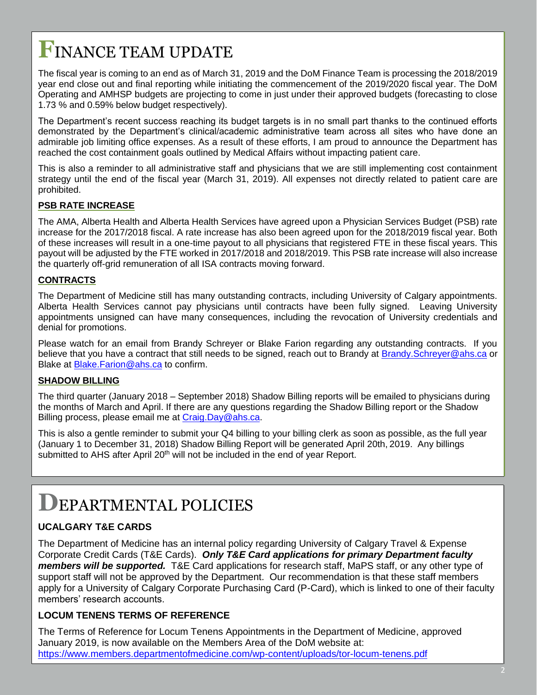# **F**INANCE TEAM UPDATE

The fiscal year is coming to an end as of March 31, 2019 and the DoM Finance Team is processing the 2018/2019 year end close out and final reporting while initiating the commencement of the 2019/2020 fiscal year. The DoM Operating and AMHSP budgets are projecting to come in just under their approved budgets (forecasting to close 1.73 % and 0.59% below budget respectively).

The Department's recent success reaching its budget targets is in no small part thanks to the continued efforts demonstrated by the Department's clinical/academic administrative team across all sites who have done an admirable job limiting office expenses. As a result of these efforts, I am proud to announce the Department has reached the cost containment goals outlined by Medical Affairs without impacting patient care.

This is also a reminder to all administrative staff and physicians that we are still implementing cost containment strategy until the end of the fiscal year (March 31, 2019). All expenses not directly related to patient care are prohibited.

#### **PSB RATE INCREASE**

The AMA, Alberta Health and Alberta Health Services have agreed upon a Physician Services Budget (PSB) rate increase for the 2017/2018 fiscal. A rate increase has also been agreed upon for the 2018/2019 fiscal year. Both of these increases will result in a one-time payout to all physicians that registered FTE in these fiscal years. This payout will be adjusted by the FTE worked in 2017/2018 and 2018/2019. This PSB rate increase will also increase the quarterly off-grid remuneration of all ISA contracts moving forward.

#### **CONTRACTS**

The Department of Medicine still has many outstanding contracts, including University of Calgary appointments. Alberta Health Services cannot pay physicians until contracts have been fully signed. Leaving University appointments unsigned can have many consequences, including the revocation of University credentials and denial for promotions.

Please watch for an email from Brandy Schreyer or Blake Farion regarding any outstanding contracts. If you believe that you have a contract that still needs to be signed, reach out to Brandy at [Brandy.Schreyer@ahs.ca](mailto:Brandy.Schreyer@ahs.ca) or Blake at [Blake.Farion@ahs.ca](mailto:Blake.Farion@ahs.ca) to confirm.

#### **SHADOW BILLING**

The third quarter (January 2018 – September 2018) Shadow Billing reports will be emailed to physicians during the months of March and April. If there are any questions regarding the Shadow Billing report or the Shadow Billing process, please email me at [Craig.Day@ahs.ca.](mailto:Craig.Day@ahs.ca)

This is also a gentle reminder to submit your Q4 billing to your billing clerk as soon as possible, as the full year (January 1 to December 31, 2018) Shadow Billing Report will be generated April 20th, 2019. Any billings submitted to AHS after April 20<sup>th</sup> will not be included in the end of year Report.

### **D**EPARTMENTAL POLICIES

### **UCALGARY T&E CARDS**

The Department of Medicine has an internal policy regarding University of Calgary Travel & Expense Corporate Credit Cards (T&E Cards). *Only T&E Card applications for primary Department faculty members will be supported.* T&E Card applications for research staff, MaPS staff, or any other type of support staff will not be approved by the Department. Our recommendation is that these staff members apply for a University of Calgary Corporate Purchasing Card (P-Card), which is linked to one of their faculty members' research accounts.

### **LOCUM TENENS TERMS OF REFERENCE**

The Terms of Reference for Locum Tenens Appointments in the Department of Medicine, approved January 2019, is now available on the Members Area of the DoM website at: <https://www.members.departmentofmedicine.com/wp-content/uploads/tor-locum-tenens.pdf>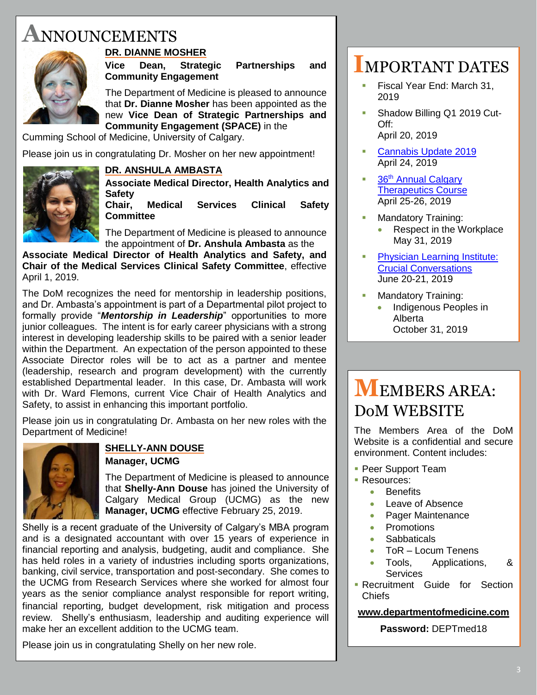## **A**NNOUNCEMENTS



### **DR. DIANNE MOSHER**

**Vice Dean, Strategic Partnerships and Community Engagement**

The Department of Medicine is pleased to announce that **Dr. Dianne Mosher** has been appointed as the new **Vice Dean of Strategic Partnerships and Community Engagement (SPACE)** in the

Cumming School of Medicine, University of Calgary.

Please join us in congratulating Dr. Mosher on her new appointment!

### **DR. ANSHULA AMBASTA**

**Associate Medical Director, Health Analytics and Safety**

**Chair, Medical Services Clinical Safety Committee**

The Department of Medicine is pleased to announce the appointment of **Dr. Anshula Ambasta** as the

**Associate Medical Director of Health Analytics and Safety, and Chair of the Medical Services Clinical Safety Committee**, effective April 1, 2019.

The DoM recognizes the need for mentorship in leadership positions, and Dr. Ambasta's appointment is part of a Departmental pilot project to formally provide "*Mentorship in Leadership*" opportunities to more junior colleagues. The intent is for early career physicians with a strong interest in developing leadership skills to be paired with a senior leader within the Department. An expectation of the person appointed to these Associate Director roles will be to act as a partner and mentee (leadership, research and program development) with the currently established Departmental leader. In this case, Dr. Ambasta will work with Dr. Ward Flemons, current Vice Chair of Health Analytics and Safety, to assist in enhancing this important portfolio.

Please join us in congratulating Dr. Ambasta on her new roles with the Department of Medicine!



### **SHELLY-ANN DOUSE Manager, UCMG**

The Department of Medicine is pleased to announce that **Shelly-Ann Douse** has joined the University of Calgary Medical Group (UCMG) as the new **Manager, UCMG** effective February 25, 2019.

Shelly is a recent graduate of the University of Calgary's MBA program and is a designated accountant with over 15 years of experience in financial reporting and analysis, budgeting, audit and compliance. She has held roles in a variety of industries including sports organizations, banking, civil service, transportation and post-secondary. She comes to the UCMG from Research Services where she worked for almost four years as the senior compliance analyst responsible for report writing, financial reporting, budget development, risk mitigation and process review. Shelly's enthusiasm, leadership and auditing experience will make her an excellent addition to the UCMG team.

Please join us in congratulating Shelly on her new role.

### **I**MPORTANT DATES

- Fiscal Year End: March 31, 2019
- **Shadow Billing Q1 2019 Cut-**Off: April 20, 2019
- **[Cannabis Update 2019](https://cumming.ucalgary.ca/cme/event/2019-04-24/cannabis-update-2019)** April 24, 2019
- 36<sup>th</sup> Annual Calgary [Therapeutics Course](https://cumming.ucalgary.ca/cme/event/2019-04-25/36th-annual-calgary-therapeutics-course) April 25-26, 2019
- **Mandatory Training:**  Respect in the Workplace May 31, 2019
- **Physician Learning Institute:** [Crucial Conversations](https://www.albertahealthservices.ca/assets/info/hp/phys/if-hp-phys-pli-registration-form.pdf) June 20-21, 2019
- **Mandatory Training:** 
	- Indigenous Peoples in Alberta October 31, 2019

# **M**EMBERS AREA: DoM WEBSITE

The Members Area of the DoM Website is a confidential and secure environment. Content includes:

- **Peer Support Team**
- Resources:
	- **•** Benefits
	- Leave of Absence
	- Pager Maintenance
	- Promotions
	- **Sabbaticals**
	- ToR Locum Tenens
	- Tools, Applications, & **Services**
- **Recruitment Guide for Section** Chiefs

### **[www.departmentofmedicine.com](http://www.departmentofmedicine.com/)**

**Password:** DEPTmed18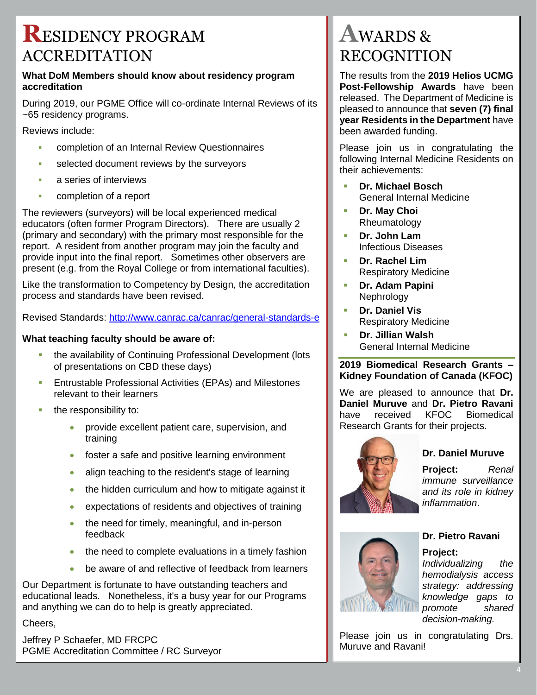### **R**ESIDENCY PROGRAM ACCREDITATION

#### **What DoM Members should know about residency program accreditation**

During 2019, our PGME Office will co-ordinate Internal Reviews of its ~65 residency programs.

Reviews include:

- completion of an Internal Review Questionnaires
- selected document reviews by the surveyors
- **a** series of interviews
- **Exampletion of a report**

The reviewers (surveyors) will be local experienced medical educators (often former Program Directors). There are usually 2 (primary and secondary) with the primary most responsible for the report. A resident from another program may join the faculty and provide input into the final report. Sometimes other observers are present (e.g. from the Royal College or from international faculties).

Like the transformation to Competency by Design, the accreditation process and standards have been revised.

Revised Standards:<http://www.canrac.ca/canrac/general-standards-e>

### **What teaching faculty should be aware of:**

- the availability of Continuing Professional Development (lots of presentations on CBD these days)
- Entrustable Professional Activities (EPAs) and Milestones relevant to their learners
- $\blacksquare$  the responsibility to:
	- **•** provide excellent patient care, supervision, and training
	- **foster a safe and positive learning environment**
	- align teaching to the resident's stage of learning
	- the hidden curriculum and how to mitigate against it
	- expectations of residents and objectives of training
	- the need for timely, meaningful, and in-person feedback
	- the need to complete evaluations in a timely fashion
	- be aware of and reflective of feedback from learners

Our Department is fortunate to have outstanding teachers and educational leads. Nonetheless, it's a busy year for our Programs and anything we can do to help is greatly appreciated.

Cheers,

Jeffrey P Schaefer, MD FRCPC PGME Accreditation Committee / RC Surveyor

### **A**WARDS & RECOGNITION

The results from the **2019 Helios UCMG Post-Fellowship Awards** have been released. The Department of Medicine is pleased to announce that **seven (7) final year Residents in the Department** have been awarded funding.

Please join us in congratulating the following Internal Medicine Residents on their achievements:

- **Dr. Michael Bosch** General Internal Medicine
- **Dr. May Choi** Rheumatology
- **Dr. John Lam** Infectious Diseases
- **Dr. Rachel Lim** Respiratory Medicine
- **Dr. Adam Papini** Nephrology
- **Dr. Daniel Vis** Respiratory Medicine
- **Dr. Jillian Walsh** General Internal Medicine

#### **2019 Biomedical Research Grants – Kidney Foundation of Canada (KFOC)**

We are pleased to announce that **Dr. Daniel Muruve** and **Dr. Pietro Ravani**  have received KFOC Biomedical Research Grants for their projects.



### **Dr. Daniel Muruve**

**Project:** *Renal immune surveillance and its role in kidney inflammation*.



### **Dr. Pietro Ravani**

### **Project:**

*Individualizing the hemodialysis access strategy: addressing knowledge gaps to promote shared decision-making.*

Please join us in congratulating Drs. Muruve and Ravani!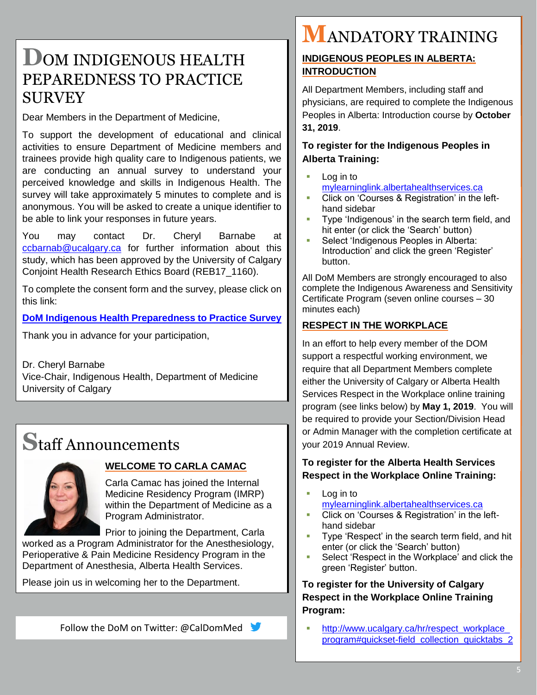### **D**OM INDIGENOUS HEALTH PEPAREDNESS TO PRACTICE SURVEY

Dear Members in the Department of Medicine,

To support the development of educational and clinical activities to ensure Department of Medicine members and trainees provide high quality care to Indigenous patients, we are conducting an annual survey to understand your perceived knowledge and skills in Indigenous Health. The survey will take approximately 5 minutes to complete and is anonymous. You will be asked to create a unique identifier to be able to link your responses in future years.

You may contact Dr. Cheryl Barnabe at [ccbarnab@ucalgary.ca](mailto:ccbarnab@ucalgary.ca) for further information about this study, which has been approved by the University of Calgary Conjoint Health Research Ethics Board (REB17\_1160).

To complete the consent form and the survey, please click on this link:

#### **[DoM Indigenous Health Preparedness to Practice Survey](https://survey.ucalgary.ca/jfe/form/SV_8fcux3K1bktloz3)**

Thank you in advance for your participation,

Dr. Cheryl Barnabe Vice-Chair, Indigenous Health, Department of Medicine University of Calgary

### **S**taff Announcements



### **WELCOME TO CARLA CAMAC**

Carla Camac has joined the Internal Medicine Residency Program (IMRP) within the Department of Medicine as a Program Administrator.

Prior to joining the Department, Carla worked as a Program Administrator for the Anesthesiology, Perioperative & Pain Medicine Residency Program in the Department of Anesthesia, Alberta Health Services.

Please join us in welcoming her to the Department.

Follow the DoM on Twitter: @CalDomMed

# **M**ANDATORY TRAINING

### **INDIGENOUS PEOPLES IN ALBERTA: INTRODUCTION**

All Department Members, including staff and physicians, are required to complete the Indigenous Peoples in Alberta: Introduction course by **October 31, 2019**.

### **To register for the Indigenous Peoples in Alberta Training:**

- Log in to [mylearninglink.albertahealthservices.ca](https://mylearninglink.albertahealthservices.ca/)
- Click on 'Courses & Registration' in the lefthand sidebar
- Type 'Indigenous' in the search term field, and hit enter (or click the 'Search' button)
- Select 'Indigenous Peoples in Alberta: Introduction' and click the green 'Register' button.

All DoM Members are strongly encouraged to also complete the Indigenous Awareness and Sensitivity Certificate Program (seven online courses – 30 minutes each)

### **RESPECT IN THE WORKPLACE**

In an effort to help every member of the DOM support a respectful working environment, we require that all Department Members complete either the University of Calgary or Alberta Health Services Respect in the Workplace online training program (see links below) by **May 1, 2019**. You will be required to provide your Section/Division Head or Admin Manager with the completion certificate at your 2019 Annual Review.

### **To register for the Alberta Health Services Respect in the Workplace Online Training:**

- Log in to [mylearninglink.albertahealthservices.ca](https://mylearninglink.albertahealthservices.ca/)
- Click on 'Courses & Registration' in the lefthand sidebar
- Type 'Respect' in the search term field, and hit enter (or click the 'Search' button)
- Select 'Respect in the Workplace' and click the green 'Register' button.

**To register for the University of Calgary Respect in the Workplace Online Training Program:**

http://www.ucalgary.ca/hr/respect\_workplace [program#quickset-field\\_collection\\_quicktabs\\_2](http://www.ucalgary.ca/hr/respect_workplace_program#quickset-field_collection_quicktabs_2)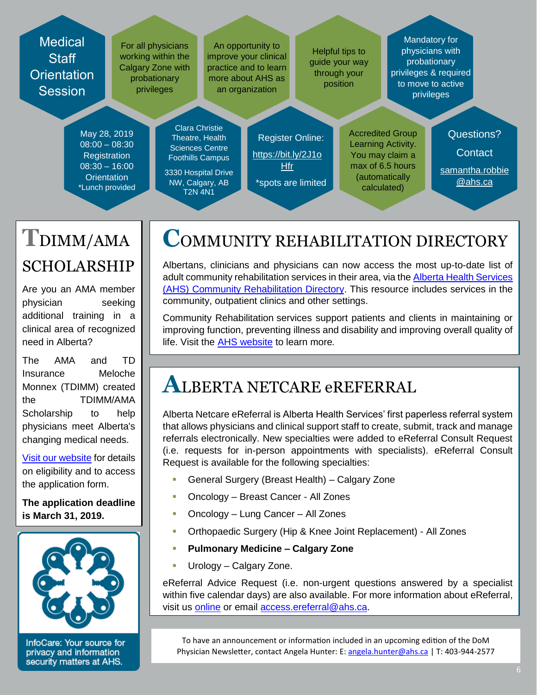#### **Medical Staff Orientation Session** For all physicians working within the Calgary Zone with probationary privileges An opportunity to improve your clinical practice and to learn more about AHS as an organization Helpful tips to guide your way through your position Mandatory for physicians with probationary privileges & required to move to active privileges May 28, 2019 08:00 – 08:30 **Registration** 08:30 – 16:00 **Orientation** \*Lunch provided Clara Christie Theatre, Health Sciences Centre Foothills Campus 3330 Hospital Drive NW, Calgary, AB Register Online: [https://bit.ly/2J1o](https://bit.ly/2J1oHfr) [Hfr](https://bit.ly/2J1oHfr) \*spots are limited Accredited Group Learning Activity. You may claim a max of 6.5 hours (automatically calculated) Questions? **Contact** [samantha.robbie](mailto:samantha.robbie@ahs.ca) [@ahs.ca](mailto:samantha.robbie@ahs.ca)

T2N 4N1

# **T**DIMM/AMA SCHOLARSHIP

Are you an AMA member physician seeking additional training in a clinical area of recognized need in Alberta?

The AMA and TD Insurance Meloche Monnex (TDIMM) created the TDIMM/AMA Scholarship to help physicians meet Alberta's changing medical needs.

[Visit our website](https://www.albertadoctors.org/about/awards/tdama-scholarship) for details on eligibility and to access the application form.

**The application deadline is March 31, 2019.** 



InfoCare: Your source for privacy and information security matters at AHS.

# **COMMUNITY REHABILITATION DIRECTORY**

Albertans, clinicians and physicians can now access the most up-to-date list of adult community rehabilitation services in their area, via the [Alberta Health Services](https://www.albertahealthservices.ca/info/Page15329.aspx)  [\(AHS\) Community Rehabilitation Directory.](https://www.albertahealthservices.ca/info/Page15329.aspx) This resource includes services in the community, outpatient clinics and other settings.

Community Rehabilitation services support patients and clients in maintaining or improving function, preventing illness and disability and improving overall quality of life. Visit the [AHS website](https://www.albertahealthservices.ca/info/Page15329.aspx) to learn more*.*

### **A**LBERTA NETCARE eREFERRAL

Alberta Netcare eReferral is Alberta Health Services' first paperless referral system that allows physicians and clinical support staff to create, submit, track and manage referrals electronically. New specialties were added to eReferral Consult Request (i.e. requests for in-person appointments with specialists). eReferral Consult Request is available for the following specialties:

- General Surgery (Breast Health) Calgary Zone
- **-** Oncology Breast Cancer All Zones
- Oncology Lung Cancer All Zones
- Orthopaedic Surgery (Hip & Knee Joint Replacement) All Zones
- **Pulmonary Medicine – Calgary Zone**
- Urology Calgary Zone.

eReferral Advice Request (i.e. non-urgent questions answered by a specialist within five calendar days) are also available. For more information about eReferral, visit us [online](http://www.albertanetcare.ca/ereferral.htm) or email [access.ereferral@ahs.ca.](mailto:access.ereferral@ahs.ca)

To have an announcement or information included in an upcoming edition of the DoM Physician Newsletter, contact Angela Hunter: E: [angela.hunter@ahs.ca](mailto:angela.hunter@ahs.ca) | T: 403-944-2577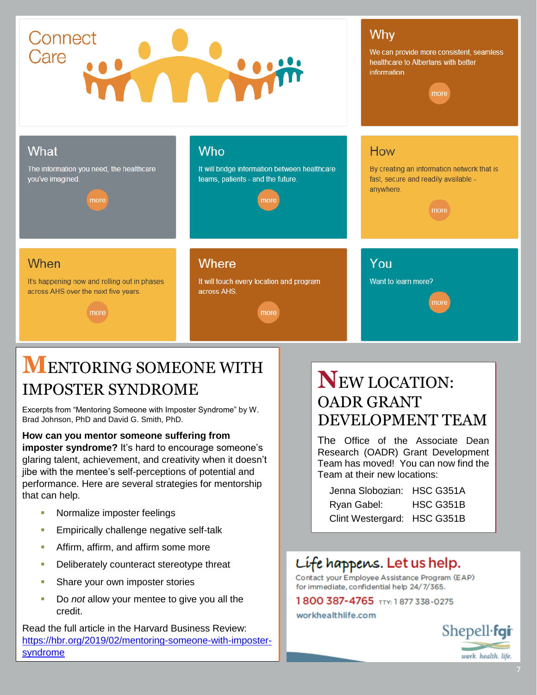#### Why Connect Care We can provide more consistent, seamless **MAR** healthcare to Albertans with better information more **What Who** How The information you need, the healthcare It will bridge information between healthcare By creating an information network that is you've imagined. teams, patients - and the future. fast, secure and readily available anywhere. more more When Where You It's happening now and rolling out in phases It will touch every location and program Want to learn more? across AHS over the next five years. across AHS. more

### **M**ENTORING SOMEONE WITH IMPOSTER SYNDROME

Excerpts from "Mentoring Someone with Imposter Syndrome" by W. Brad Johnson, PhD and David G. Smith, PhD.

**How can you mentor someone suffering from imposter syndrome?** It's hard to encourage someone's glaring talent, achievement, and creativity when it doesn't jibe with the mentee's self-perceptions of potential and performance. Here are several strategies for mentorship that can help.

- **Normalize imposter feelings**
- **Empirically challenge negative self-talk**
- **Affirm, affirm, and affirm some more**
- Deliberately counteract stereotype threat
- **Share your own imposter stories**
- Do *not* allow your mentee to give you all the credit.

Read the full article in the Harvard Business Review: [https://hbr.org/2019/02/mentoring-someone-with-imposter](https://hbr.org/2019/02/mentoring-someone-with-imposter-syndrome)[syndrome](https://hbr.org/2019/02/mentoring-someone-with-imposter-syndrome)

### **N**EW LOCATION: OADR GRANT DEVELOPMENT TEAM

The Office of the Associate Dean Research (OADR) Grant Development Team has moved! You can now find the Team at their new locations:

| Jenna Slobozian: HSC G351A  |           |
|-----------------------------|-----------|
| Ryan Gabel:                 | HSC G351B |
| Clint Westergard: HSC G351B |           |

### Life happens. Let us help.

Contact your Employee Assistance Program (EAP) for immediate, confidential help 24/7/365.

1800 387-4765 TTY: 1877 338-0275

#### workhealthlife.com